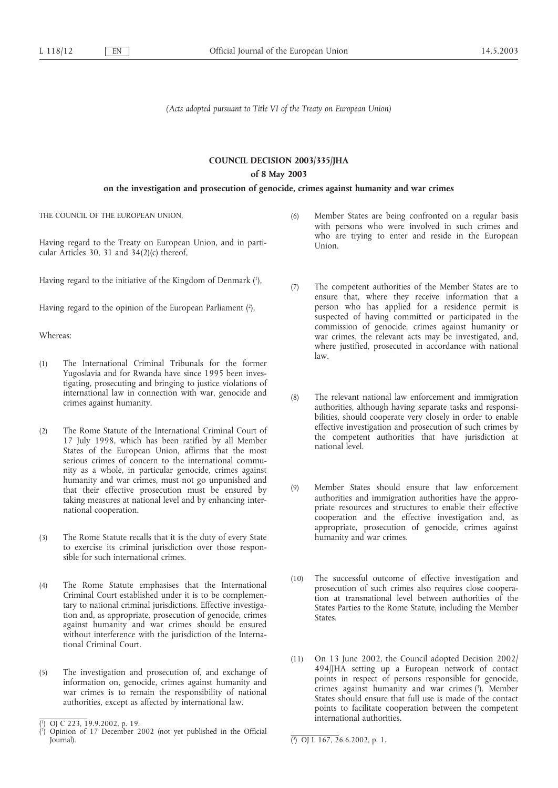## *(Acts adopted pursuant to Title VI of the Treaty on European Union)*

# **COUNCIL DECISION 2003/335/JHA**

## **of 8 May 2003**

### **on the investigation and prosecution of genocide, crimes against humanity and war crimes**

THE COUNCIL OF THE EUROPEAN UNION,

Having regard to the Treaty on European Union, and in particular Articles 30, 31 and 34(2)(c) thereof,

Having regard to the initiative of the Kingdom of Denmark (1 ),

Having regard to the opinion of the European Parliament (2),

Whereas:

- (1) The International Criminal Tribunals for the former Yugoslavia and for Rwanda have since 1995 been investigating, prosecuting and bringing to justice violations of international law in connection with war, genocide and crimes against humanity.
- (2) The Rome Statute of the International Criminal Court of 17 July 1998, which has been ratified by all Member States of the European Union, affirms that the most serious crimes of concern to the international community as a whole, in particular genocide, crimes against humanity and war crimes, must not go unpunished and that their effective prosecution must be ensured by taking measures at national level and by enhancing international cooperation.
- (3) The Rome Statute recalls that it is the duty of every State to exercise its criminal jurisdiction over those responsible for such international crimes.
- (4) The Rome Statute emphasises that the International Criminal Court established under it is to be complementary to national criminal jurisdictions. Effective investigation and, as appropriate, prosecution of genocide, crimes against humanity and war crimes should be ensured without interference with the jurisdiction of the International Criminal Court.
- (5) The investigation and prosecution of, and exchange of information on, genocide, crimes against humanity and war crimes is to remain the responsibility of national authorities, except as affected by international law.
- (6) Member States are being confronted on a regular basis with persons who were involved in such crimes and who are trying to enter and reside in the European Union.
- (7) The competent authorities of the Member States are to ensure that, where they receive information that a person who has applied for a residence permit is suspected of having committed or participated in the commission of genocide, crimes against humanity or war crimes, the relevant acts may be investigated, and, where justified, prosecuted in accordance with national law.
- (8) The relevant national law enforcement and immigration authorities, although having separate tasks and responsibilities, should cooperate very closely in order to enable effective investigation and prosecution of such crimes by the competent authorities that have jurisdiction at national level.
- (9) Member States should ensure that law enforcement authorities and immigration authorities have the appropriate resources and structures to enable their effective cooperation and the effective investigation and, as appropriate, prosecution of genocide, crimes against humanity and war crimes.
- (10) The successful outcome of effective investigation and prosecution of such crimes also requires close cooperation at transnational level between authorities of the States Parties to the Rome Statute, including the Member States.
- (11) On 13 June 2002, the Council adopted Decision 2002/ 494/JHA setting up a European network of contact points in respect of persons responsible for genocide, crimes against humanity and war crimes (3). Member States should ensure that full use is made of the contact points to facilitate cooperation between the competent international authorities.

<sup>(</sup> 1 ) OJ C 223, 19.9.2002, p. 19.

<sup>(</sup> 2 ) Opinion of 17 December 2002 (not yet published in the Official Journal). (

<sup>3</sup> ) OJ L 167, 26.6.2002, p. 1.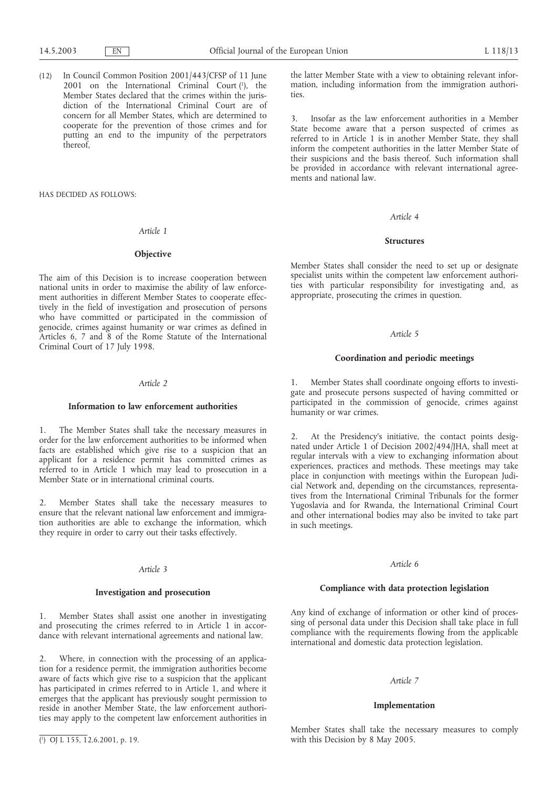(12) In Council Common Position 2001/443/CFSP of 11 June 2001 on the International Criminal Court  $(1)$ , the Member States declared that the crimes within the jurisdiction of the International Criminal Court are of concern for all Member States, which are determined to cooperate for the prevention of those crimes and for putting an end to the impunity of the perpetrators thereof,

HAS DECIDED AS FOLLOWS:

#### *Article 1*

#### **Objective**

The aim of this Decision is to increase cooperation between national units in order to maximise the ability of law enforcement authorities in different Member States to cooperate effectively in the field of investigation and prosecution of persons who have committed or participated in the commission of genocide, crimes against humanity or war crimes as defined in Articles 6, 7 and 8 of the Rome Statute of the International Criminal Court of 17 July 1998.

#### *Article 2*

#### **Information to law enforcement authorities**

1. The Member States shall take the necessary measures in order for the law enforcement authorities to be informed when facts are established which give rise to a suspicion that an applicant for a residence permit has committed crimes as referred to in Article 1 which may lead to prosecution in a Member State or in international criminal courts.

2. Member States shall take the necessary measures to ensure that the relevant national law enforcement and immigration authorities are able to exchange the information, which they require in order to carry out their tasks effectively.

#### *Article 3*

#### **Investigation and prosecution**

1. Member States shall assist one another in investigating and prosecuting the crimes referred to in Article 1 in accordance with relevant international agreements and national law.

2. Where, in connection with the processing of an application for a residence permit, the immigration authorities become aware of facts which give rise to a suspicion that the applicant has participated in crimes referred to in Article 1, and where it emerges that the applicant has previously sought permission to reside in another Member State, the law enforcement authorities may apply to the competent law enforcement authorities in the latter Member State with a view to obtaining relevant information, including information from the immigration authorities.

3. Insofar as the law enforcement authorities in a Member State become aware that a person suspected of crimes as referred to in Article 1 is in another Member State, they shall inform the competent authorities in the latter Member State of their suspicions and the basis thereof. Such information shall be provided in accordance with relevant international agreements and national law.

#### *Article 4*

#### **Structures**

Member States shall consider the need to set up or designate specialist units within the competent law enforcement authorities with particular responsibility for investigating and, as appropriate, prosecuting the crimes in question.

### *Article 5*

#### **Coordination and periodic meetings**

1. Member States shall coordinate ongoing efforts to investigate and prosecute persons suspected of having committed or participated in the commission of genocide, crimes against humanity or war crimes.

2. At the Presidency's initiative, the contact points designated under Article 1 of Decision 2002/494/JHA, shall meet at regular intervals with a view to exchanging information about experiences, practices and methods. These meetings may take place in conjunction with meetings within the European Judicial Network and, depending on the circumstances, representatives from the International Criminal Tribunals for the former Yugoslavia and for Rwanda, the International Criminal Court and other international bodies may also be invited to take part in such meetings.

#### *Article 6*

## **Compliance with data protection legislation**

Any kind of exchange of information or other kind of processing of personal data under this Decision shall take place in full compliance with the requirements flowing from the applicable international and domestic data protection legislation.

### *Article 7*

#### **Implementation**

Member States shall take the necessary measures to comply with this Decision by 8 May 2005.